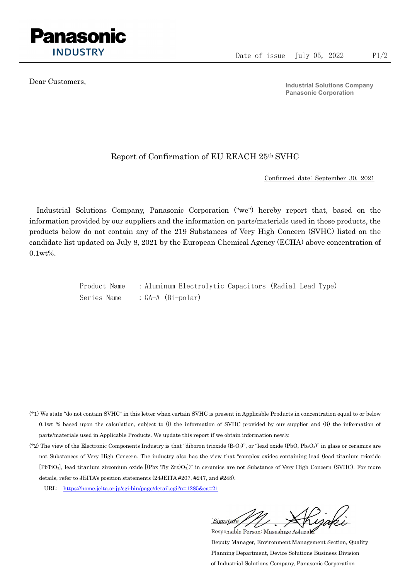

Dear Customers,

Industrial Solutions Company Panasonic Corporation

## Report of Confirmation of EU REACH 25th SVHC

Confirmed date: September 30, 2021

Industrial Solutions Company, Panasonic Corporation ("we") hereby report that, based on the information provided by our suppliers and the information on parts/materials used in those products, the products below do not contain any of the 219 Substances of Very High Concern (SVHC) listed on the candidate list updated on July 8, 2021 by the European Chemical Agency (ECHA) above concentration of 0.1wt%.

> Product Name : Aluminum Electrolytic Capacitors (Radial Lead Type) Series Name : GA-A (Bi-polar)

- (\*1) We state "do not contain SVHC" in this letter when certain SVHC is present in Applicable Products in concentration equal to or below 0.1wt % based upon the calculation, subject to (i) the information of SVHC provided by our supplier and (ii) the information of parts/materials used in Applicable Products. We update this report if we obtain information newly.
- (\*2) The view of the Electronic Components Industry is that "diboron trioxide  $(B_2O_3)$ ", or "lead oxide (PbO, Pb<sub>3</sub>O<sub>4</sub>)" in glass or ceramics are not Substances of Very High Concern. The industry also has the view that "complex oxides containing lead (lead titanium trioxide [PbTiO3], lead titanium zirconium oxide [(Pbx Tiy Zrz)O3])" in ceramics are not Substance of Very High Concern (SVHC). For more details, refer to JEITA's position statements (24JEITA #207, #247, and #248).
	- URL: https://home.jeita.or.jp/cgi-bin/page/detail.cgi?n=1285&ca=21

 $[Signat]$ Responsible Person: Masashige Ashizaki

Deputy Manager, Environment Management Section, Quality Planning Department, Device Solutions Business Division of Industrial Solutions Company, Panasonic Corporation